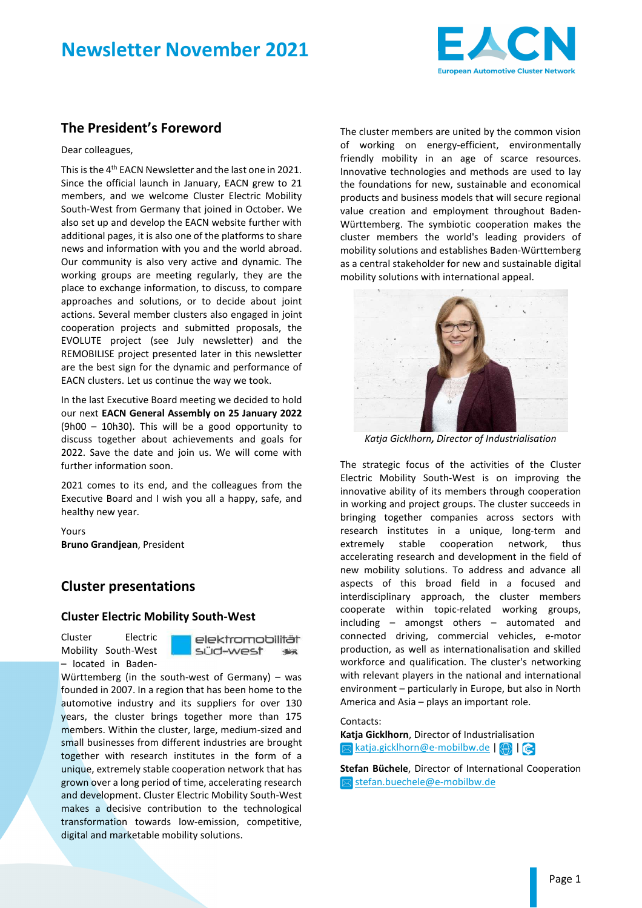# **Newsletter November 2021**



## **The President's Foreword**

#### Dear colleagues,

This is the 4<sup>th</sup> EACN Newsletter and the last one in 2021. Since the official launch in January, EACN grew to 21 members, and we welcome Cluster Electric Mobility South-West from Germany that joined in October. We also set up and develop the EACN website further with additional pages, it is also one of the platforms to share news and information with you and the world abroad. Our community is also very active and dynamic. The working groups are meeting regularly, they are the place to exchange information, to discuss, to compare approaches and solutions, or to decide about joint actions. Several member clusters also engaged in joint cooperation projects and submitted proposals, the EVOLUTE project (see July newsletter) and the REMOBILISE project presented later in this newsletter are the best sign for the dynamic and performance of EACN clusters. Let us continue the way we took.

In the last Executive Board meeting we decided to hold our next **EACN General Assembly on 25 January 2022** (9h00 – 10h30). This will be a good opportunity to discuss together about achievements and goals for 2022. Save the date and join us. We will come with further information soon.

2021 comes to its end, and the colleagues from the Executive Board and I wish you all a happy, safe, and healthy new year.

Yours **Bruno Grandjean**, President

### **Cluster presentations**

#### **Cluster Electric Mobility South-West**

Cluster Electric Mobility South-West – located in Badenelektromobilität süd-west  $\frac{1}{2}$ 

Württemberg (in the south-west of Germany) – was founded in 2007. In a region that has been home to the automotive industry and its suppliers for over 130 years, the cluster brings together more than 175 members. Within the cluster, large, medium-sized and small businesses from different industries are brought together with research institutes in the form of a unique, extremely stable cooperation network that has grown over a long period of time, accelerating research and development. Cluster Electric Mobility South-West makes a decisive contribution to the technological transformation towards low-emission, competitive, digital and marketable mobility solutions.

The cluster members are united by the common vision of working on energy-efficient, environmentally friendly mobility in an age of scarce resources. Innovative technologies and methods are used to lay the foundations for new, sustainable and economical products and business models that will secure regional value creation and employment throughout Baden-Württemberg. The symbiotic cooperation makes the cluster members the world's leading providers of mobility solutions and establishes Baden-Württemberg as a central stakeholder for new and sustainable digital mobility solutions with international appeal.



*Katja Gicklhorn, Director of Industrialisation* 

The strategic focus of the activities of the Cluster Electric Mobility South-West is on improving the innovative ability of its members through cooperation in working and project groups. The cluster succeeds in bringing together companies across sectors with research institutes in a unique, long-term and extremely stable cooperation network, thus accelerating research and development in the field of new mobility solutions. To address and advance all aspects of this broad field in a focused and interdisciplinary approach, the cluster members cooperate within topic-related working groups, including – amongst others – automated and connected driving, commercial vehicles, e-motor production, as well as internationalisation and skilled workforce and qualification. The cluster's networking with relevant players in the national and international environment – particularly in Europe, but also in North America and Asia – plays an important role.

#### Contacts:

**Katja Gicklhorn**, Director of Industrialisation **Example 20** katja.gicklhorn@e-mobilbw.de | 4 | |  $\odot$ 

**Stefan Büchele**, Director of International Cooperation stefan.buechele@e-mobilbw.de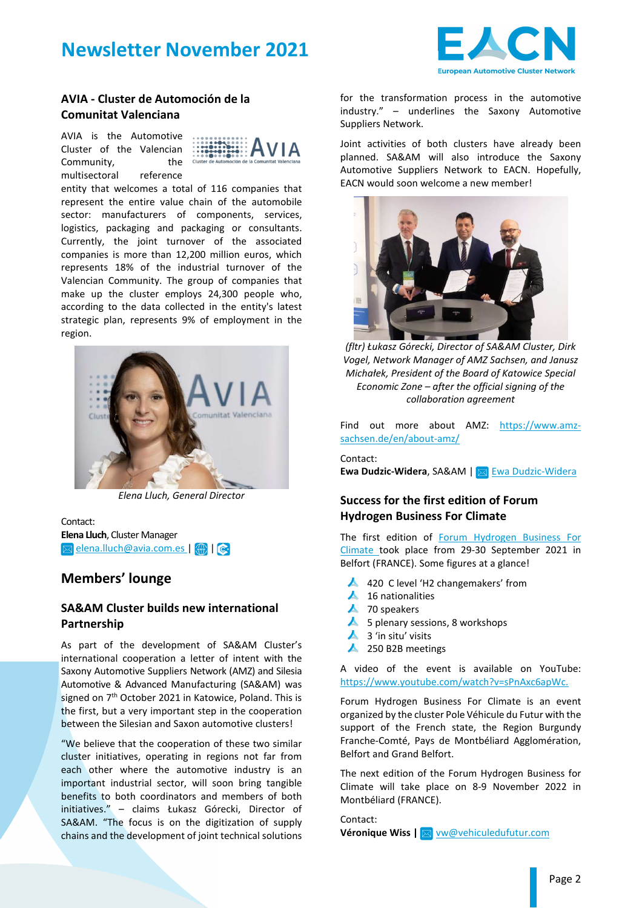# **Newsletter November 2021**



#### **AVIA - Cluster de Automoción de la Comunitat Valenciana**

AVIA is the Automotive Cluster of the Valencian Community, the multisectoral reference



entity that welcomes a total of 116 companies that represent the entire value chain of the automobile sector: manufacturers of components, services, logistics, packaging and packaging or consultants. Currently, the joint turnover of the associated companies is more than 12,200 million euros, which represents 18% of the industrial turnover of the Valencian Community. The group of companies that make up the cluster employs 24,300 people who, according to the data collected in the entity's latest strategic plan, represents 9% of employment in the region.



*Elena Lluch, General Director* 

Contact: **Elena Lluch**, Cluster Manager **Ex elena.lluch@avia.com.es | 42 | @** 

## **Members' lounge**

#### **SA&AM Cluster builds new international Partnership**

As part of the development of SA&AM Cluster's international cooperation a letter of intent with the Saxony Automotive Suppliers Network (AMZ) and Silesia Automotive & Advanced Manufacturing (SA&AM) was signed on 7<sup>th</sup> October 2021 in Katowice, Poland. This is the first, but a very important step in the cooperation between the Silesian and Saxon automotive clusters!

"We believe that the cooperation of these two similar cluster initiatives, operating in regions not far from each other where the automotive industry is an important industrial sector, will soon bring tangible benefits to both coordinators and members of both initiatives." – claims Łukasz Górecki, Director of SA&AM. "The focus is on the digitization of supply chains and the development of joint technical solutions

for the transformation process in the automotive industry." – underlines the Saxony Automotive Suppliers Network.

Joint activities of both clusters have already been planned. SA&AM will also introduce the Saxony Automotive Suppliers Network to EACN. Hopefully, EACN would soon welcome a new member!



*(fltr) Łukasz Górecki, Director of SA&AM Cluster, Dirk Vogel, Network Manager of AMZ Sachsen, and Janusz Michałek, President of the Board of Katowice Special Economic Zone – after the official signing of the collaboration agreement* 

Find out more about AMZ: https://www.amzsachsen.de/en/about-amz/

Contact: **Ewa Dudzic-Widera, SA&AM | Ewa Dudzic-Widera** 

### **Success for the first edition of Forum Hydrogen Business For Climate**

The first edition of Forum Hydrogen Business For Climate took place from 29-30 September 2021 in Belfort (FRANCE). Some figures at a glance!

- ▲ 420 C level 'H2 changemakers' from
- $\triangle$  16 nationalities
- $\blacktriangle$  70 speakers
- $\blacktriangle$  5 plenary sessions, 8 workshops
- $\triangle$  3 'in situ' visits
- ▲ 250 B2B meetings

A video of the event is available on YouTube: https://www.youtube.com/watch?v=sPnAxc6apWc.

Forum Hydrogen Business For Climate is an event organized by the cluster Pole Véhicule du Futur with the support of the French state, the Region Burgundy Franche-Comté, Pays de Montbéliard Agglomération, Belfort and Grand Belfort.

The next edition of the Forum Hydrogen Business for Climate will take place on 8-9 November 2022 in Montbéliard (FRANCE).

Contact: **Véronique Wiss | a vw@vehiculedufutur.com**